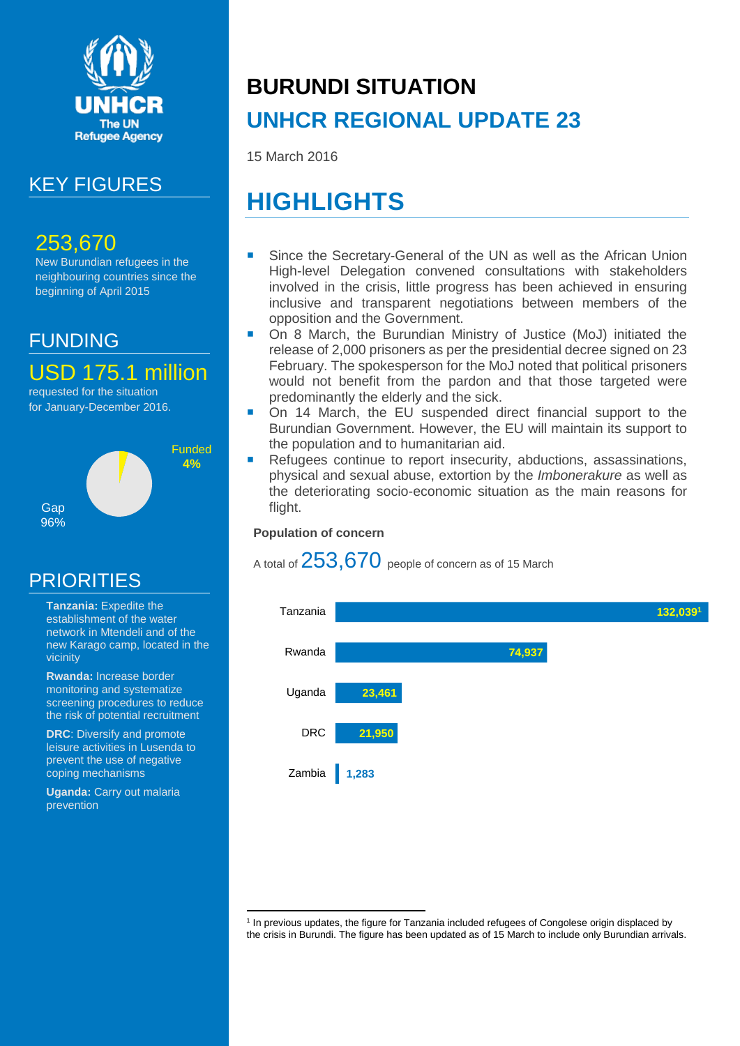

## KEY FIGURES

### 253,670

New Burundian refugees in the neighbouring countries since the beginning of April 2015

# FUNDING

USD 175.1 million

requested for the situation for January-December 2016.



## PRIORITIES

- **Tanzania:** Expedite the establishment of the water network in Mtendeli and of the new Karago camp, located in the vicinity
- **Rwanda:** Increase border monitoring and systematize screening procedures to reduce the risk of potential recruitment
- **DRC**: Diversify and promote leisure activities in Lusenda to prevent the use of negative coping mechanisms
- **Uganda:** Carry out malaria prevention

# **BURUNDI SITUATION UNHCR REGIONAL UPDATE 23**

15 March 2016

# **HIGHLIGHTS**

- Since the Secretary-General of the UN as well as the African Union High-level Delegation convened consultations with stakeholders involved in the crisis, little progress has been achieved in ensuring inclusive and transparent negotiations between members of the opposition and the Government.
- On 8 March, the Burundian Ministry of Justice (MoJ) initiated the release of 2,000 prisoners as per the presidential decree signed on 23 February. The spokesperson for the MoJ noted that political prisoners would not benefit from the pardon and that those targeted were predominantly the elderly and the sick.
- On 14 March, the EU suspended direct financial support to the Burundian Government. However, the EU will maintain its support to the population and to humanitarian aid.
- Refugees continue to report insecurity, abductions, assassinations, physical and sexual abuse, extortion by the *Imbonerakure* as well as the deteriorating socio-economic situation as the main reasons for flight.

#### **Population of concern**

A total of  $253,670$  people of concern as of 15 March



 $\overline{a}$ 1 In previous updates, the figure for Tanzania included refugees of Congolese origin displaced by the crisis in Burundi. The figure has been updated as of 15 March to include only Burundian arrivals.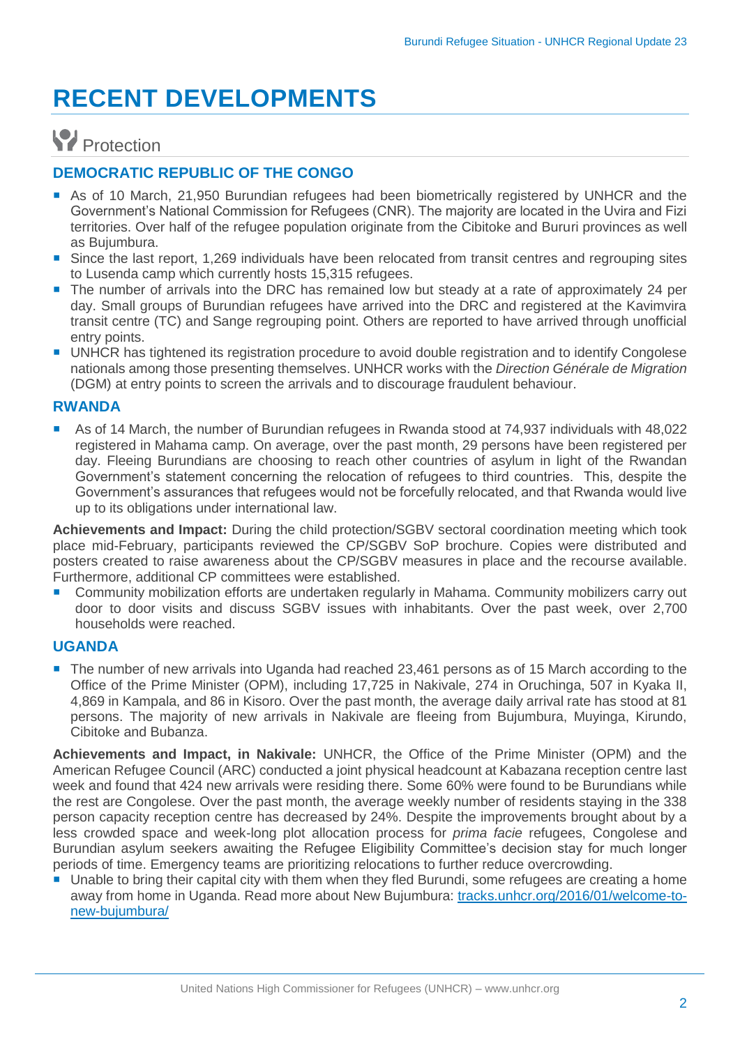# **RECENT DEVELOPMENTS**

## **Protection**

#### **DEMOCRATIC REPUBLIC OF THE CONGO**

- As of 10 March, 21,950 Burundian refugees had been biometrically registered by UNHCR and the Government's National Commission for Refugees (CNR). The majority are located in the Uvira and Fizi territories. Over half of the refugee population originate from the Cibitoke and Bururi provinces as well as Bujumbura.
- Since the last report, 1,269 individuals have been relocated from transit centres and regrouping sites to Lusenda camp which currently hosts 15,315 refugees.
- **The number of arrivals into the DRC has remained low but steady at a rate of approximately 24 per** day. Small groups of Burundian refugees have arrived into the DRC and registered at the Kavimvira transit centre (TC) and Sange regrouping point. Others are reported to have arrived through unofficial entry points.
- UNHCR has tightened its registration procedure to avoid double registration and to identify Congolese nationals among those presenting themselves. UNHCR works with the *Direction Générale de Migration* (DGM) at entry points to screen the arrivals and to discourage fraudulent behaviour.

#### **RWANDA**

 As of 14 March, the number of Burundian refugees in Rwanda stood at 74,937 individuals with 48,022 registered in Mahama camp. On average, over the past month, 29 persons have been registered per day. Fleeing Burundians are choosing to reach other countries of asylum in light of the Rwandan Government's statement concerning the relocation of refugees to third countries. This, despite the Government's assurances that refugees would not be forcefully relocated, and that Rwanda would live up to its obligations under international law.

**Achievements and Impact:** During the child protection/SGBV sectoral coordination meeting which took place mid-February, participants reviewed the CP/SGBV SoP brochure. Copies were distributed and posters created to raise awareness about the CP/SGBV measures in place and the recourse available. Furthermore, additional CP committees were established.

 Community mobilization efforts are undertaken regularly in Mahama. Community mobilizers carry out door to door visits and discuss SGBV issues with inhabitants. Over the past week, over 2,700 households were reached.

#### **UGANDA**

 The number of new arrivals into Uganda had reached 23,461 persons as of 15 March according to the Office of the Prime Minister (OPM), including 17,725 in Nakivale, 274 in Oruchinga, 507 in Kyaka II, 4,869 in Kampala, and 86 in Kisoro. Over the past month, the average daily arrival rate has stood at 81 persons. The majority of new arrivals in Nakivale are fleeing from Bujumbura, Muyinga, Kirundo, Cibitoke and Bubanza.

**Achievements and Impact, in Nakivale:** UNHCR, the Office of the Prime Minister (OPM) and the American Refugee Council (ARC) conducted a joint physical headcount at Kabazana reception centre last week and found that 424 new arrivals were residing there. Some 60% were found to be Burundians while the rest are Congolese. Over the past month, the average weekly number of residents staying in the 338 person capacity reception centre has decreased by 24%. Despite the improvements brought about by a less crowded space and week-long plot allocation process for *prima facie* refugees, Congolese and Burundian asylum seekers awaiting the Refugee Eligibility Committee's decision stay for much longer periods of time. Emergency teams are prioritizing relocations to further reduce overcrowding.

**Unable to bring their capital city with them when they fled Burundi, some refugees are creating a home** away from home in Uganda. Read more about New Bujumbura: [tracks.unhcr.org/2016/01/welcome-to](http://tracks.unhcr.org/2016/01/welcome-to-new-bujumbura/)[new-bujumbura/](http://tracks.unhcr.org/2016/01/welcome-to-new-bujumbura/)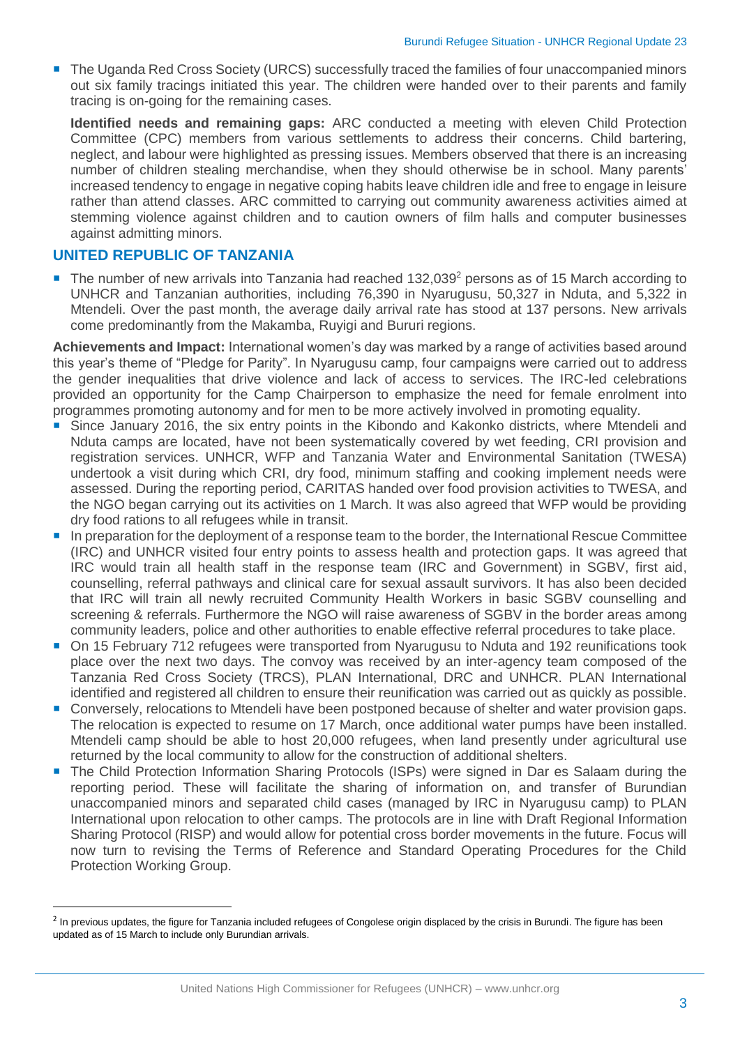The Uganda Red Cross Society (URCS) successfully traced the families of four unaccompanied minors out six family tracings initiated this year. The children were handed over to their parents and family tracing is on-going for the remaining cases.

**Identified needs and remaining gaps:** ARC conducted a meeting with eleven Child Protection Committee (CPC) members from various settlements to address their concerns. Child bartering, neglect, and labour were highlighted as pressing issues. Members observed that there is an increasing number of children stealing merchandise, when they should otherwise be in school. Many parents' increased tendency to engage in negative coping habits leave children idle and free to engage in leisure rather than attend classes. ARC committed to carrying out community awareness activities aimed at stemming violence against children and to caution owners of film halls and computer businesses against admitting minors.

#### **UNITED REPUBLIC OF TANZANIA**

 $\overline{a}$ 

The number of new arrivals into Tanzania had reached 132,039<sup>2</sup> persons as of 15 March according to UNHCR and Tanzanian authorities, including 76,390 in Nyarugusu, 50,327 in Nduta, and 5,322 in Mtendeli. Over the past month, the average daily arrival rate has stood at 137 persons. New arrivals come predominantly from the Makamba, Ruyigi and Bururi regions.

**Achievements and Impact:** International women's day was marked by a range of activities based around this year's theme of "Pledge for Parity". In Nyarugusu camp, four campaigns were carried out to address the gender inequalities that drive violence and lack of access to services. The IRC-led celebrations provided an opportunity for the Camp Chairperson to emphasize the need for female enrolment into programmes promoting autonomy and for men to be more actively involved in promoting equality.

- **Since January 2016, the six entry points in the Kibondo and Kakonko districts, where Mtendeli and** Nduta camps are located, have not been systematically covered by wet feeding, CRI provision and registration services. UNHCR, WFP and Tanzania Water and Environmental Sanitation (TWESA) undertook a visit during which CRI, dry food, minimum staffing and cooking implement needs were assessed. During the reporting period, CARITAS handed over food provision activities to TWESA, and the NGO began carrying out its activities on 1 March. It was also agreed that WFP would be providing dry food rations to all refugees while in transit.
- In preparation for the deployment of a response team to the border, the International Rescue Committee (IRC) and UNHCR visited four entry points to assess health and protection gaps. It was agreed that IRC would train all health staff in the response team (IRC and Government) in SGBV, first aid, counselling, referral pathways and clinical care for sexual assault survivors. It has also been decided that IRC will train all newly recruited Community Health Workers in basic SGBV counselling and screening & referrals. Furthermore the NGO will raise awareness of SGBV in the border areas among community leaders, police and other authorities to enable effective referral procedures to take place.
- On 15 February 712 refugees were transported from Nyarugusu to Nduta and 192 reunifications took place over the next two days. The convoy was received by an inter-agency team composed of the Tanzania Red Cross Society (TRCS), PLAN International, DRC and UNHCR. PLAN International identified and registered all children to ensure their reunification was carried out as quickly as possible.
- Conversely, relocations to Mtendeli have been postponed because of shelter and water provision gaps. The relocation is expected to resume on 17 March, once additional water pumps have been installed. Mtendeli camp should be able to host 20,000 refugees, when land presently under agricultural use returned by the local community to allow for the construction of additional shelters.
- The Child Protection Information Sharing Protocols (ISPs) were signed in Dar es Salaam during the reporting period. These will facilitate the sharing of information on, and transfer of Burundian unaccompanied minors and separated child cases (managed by IRC in Nyarugusu camp) to PLAN International upon relocation to other camps. The protocols are in line with Draft Regional Information Sharing Protocol (RISP) and would allow for potential cross border movements in the future. Focus will now turn to revising the Terms of Reference and Standard Operating Procedures for the Child Protection Working Group.

<sup>&</sup>lt;sup>2</sup> In previous updates, the figure for Tanzania included refugees of Congolese origin displaced by the crisis in Burundi. The figure has been updated as of 15 March to include only Burundian arrivals.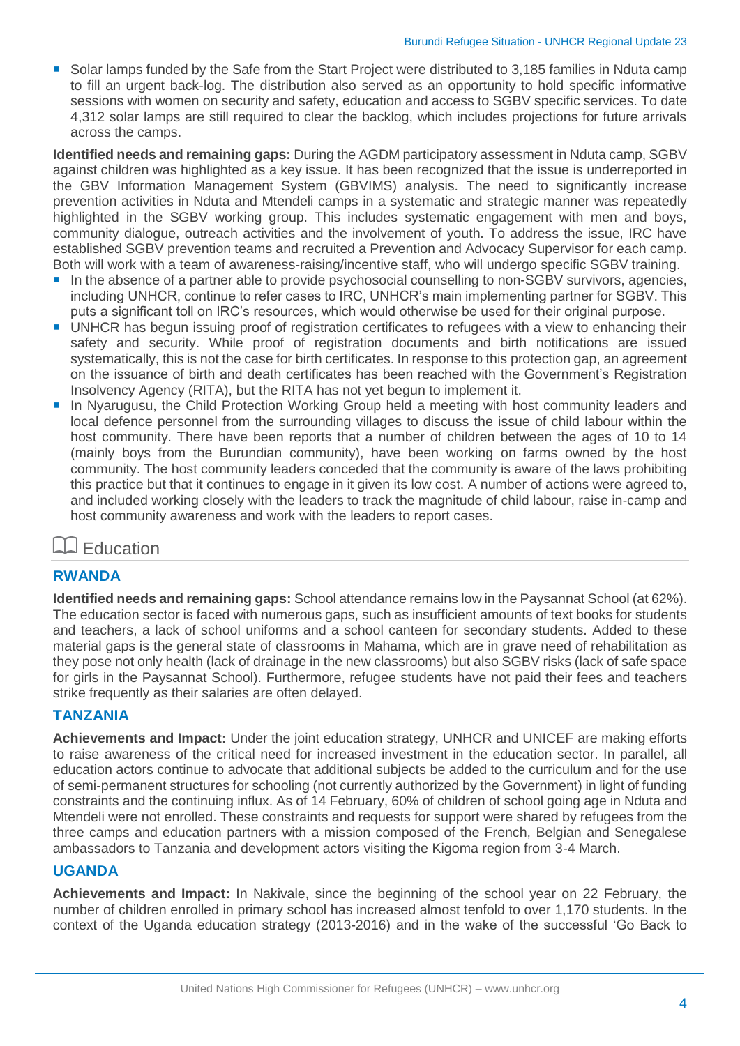Solar lamps funded by the Safe from the Start Project were distributed to 3,185 families in Nduta camp to fill an urgent back-log. The distribution also served as an opportunity to hold specific informative sessions with women on security and safety, education and access to SGBV specific services. To date 4,312 solar lamps are still required to clear the backlog, which includes projections for future arrivals across the camps.

**Identified needs and remaining gaps:** During the AGDM participatory assessment in Nduta camp, SGBV against children was highlighted as a key issue. It has been recognized that the issue is underreported in the GBV Information Management System (GBVIMS) analysis. The need to significantly increase prevention activities in Nduta and Mtendeli camps in a systematic and strategic manner was repeatedly highlighted in the SGBV working group. This includes systematic engagement with men and boys, community dialogue, outreach activities and the involvement of youth. To address the issue, IRC have established SGBV prevention teams and recruited a Prevention and Advocacy Supervisor for each camp. Both will work with a team of awareness-raising/incentive staff, who will undergo specific SGBV training.

- In the absence of a partner able to provide psychosocial counselling to non-SGBV survivors, agencies, including UNHCR, continue to refer cases to IRC, UNHCR's main implementing partner for SGBV. This puts a significant toll on IRC's resources, which would otherwise be used for their original purpose.
- UNHCR has begun issuing proof of registration certificates to refugees with a view to enhancing their safety and security. While proof of registration documents and birth notifications are issued systematically, this is not the case for birth certificates. In response to this protection gap, an agreement on the issuance of birth and death certificates has been reached with the Government's Registration Insolvency Agency (RITA), but the RITA has not yet begun to implement it.
- In Nyarugusu, the Child Protection Working Group held a meeting with host community leaders and local defence personnel from the surrounding villages to discuss the issue of child labour within the host community. There have been reports that a number of children between the ages of 10 to 14 (mainly boys from the Burundian community), have been working on farms owned by the host community. The host community leaders conceded that the community is aware of the laws prohibiting this practice but that it continues to engage in it given its low cost. A number of actions were agreed to, and included working closely with the leaders to track the magnitude of child labour, raise in-camp and host community awareness and work with the leaders to report cases.

### **Education**

#### **RWANDA**

**Identified needs and remaining gaps:** School attendance remains low in the Paysannat School (at 62%). The education sector is faced with numerous gaps, such as insufficient amounts of text books for students and teachers, a lack of school uniforms and a school canteen for secondary students. Added to these material gaps is the general state of classrooms in Mahama, which are in grave need of rehabilitation as they pose not only health (lack of drainage in the new classrooms) but also SGBV risks (lack of safe space for girls in the Paysannat School). Furthermore, refugee students have not paid their fees and teachers strike frequently as their salaries are often delayed.

#### **TANZANIA**

**Achievements and Impact:** Under the joint education strategy, UNHCR and UNICEF are making efforts to raise awareness of the critical need for increased investment in the education sector. In parallel, all education actors continue to advocate that additional subjects be added to the curriculum and for the use of semi-permanent structures for schooling (not currently authorized by the Government) in light of funding constraints and the continuing influx. As of 14 February, 60% of children of school going age in Nduta and Mtendeli were not enrolled. These constraints and requests for support were shared by refugees from the three camps and education partners with a mission composed of the French, Belgian and Senegalese ambassadors to Tanzania and development actors visiting the Kigoma region from 3-4 March.

#### **UGANDA**

**Achievements and Impact:** In Nakivale, since the beginning of the school year on 22 February, the number of children enrolled in primary school has increased almost tenfold to over 1,170 students. In the context of the Uganda education strategy (2013-2016) and in the wake of the successful 'Go Back to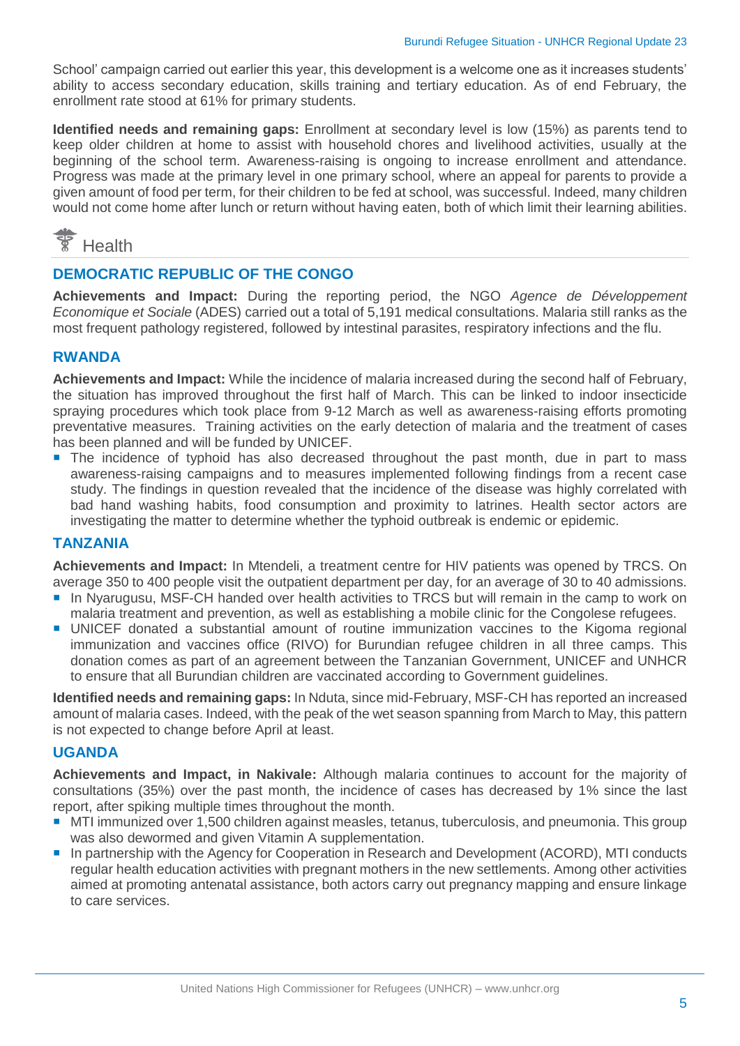School' campaign carried out earlier this year, this development is a welcome one as it increases students' ability to access secondary education, skills training and tertiary education. As of end February, the enrollment rate stood at 61% for primary students.

**Identified needs and remaining gaps:** Enrollment at secondary level is low (15%) as parents tend to keep older children at home to assist with household chores and livelihood activities, usually at the beginning of the school term. Awareness-raising is ongoing to increase enrollment and attendance. Progress was made at the primary level in one primary school, where an appeal for parents to provide a given amount of food per term, for their children to be fed at school, was successful. Indeed, many children would not come home after lunch or return without having eaten, both of which limit their learning abilities.



#### **DEMOCRATIC REPUBLIC OF THE CONGO**

**Achievements and Impact:** During the reporting period, the NGO *Agence de Développement Economique et Sociale* (ADES) carried out a total of 5,191 medical consultations. Malaria still ranks as the most frequent pathology registered, followed by intestinal parasites, respiratory infections and the flu.

#### **RWANDA**

**Achievements and Impact:** While the incidence of malaria increased during the second half of February, the situation has improved throughout the first half of March. This can be linked to indoor insecticide spraying procedures which took place from 9-12 March as well as awareness-raising efforts promoting preventative measures. Training activities on the early detection of malaria and the treatment of cases has been planned and will be funded by UNICEF.

**The incidence of typhoid has also decreased throughout the past month, due in part to mass** awareness-raising campaigns and to measures implemented following findings from a recent case study. The findings in question revealed that the incidence of the disease was highly correlated with bad hand washing habits, food consumption and proximity to latrines. Health sector actors are investigating the matter to determine whether the typhoid outbreak is endemic or epidemic.

#### **TANZANIA**

**Achievements and Impact:** In Mtendeli, a treatment centre for HIV patients was opened by TRCS. On average 350 to 400 people visit the outpatient department per day, for an average of 30 to 40 admissions.

- In Nyarugusu, MSF-CH handed over health activities to TRCS but will remain in the camp to work on malaria treatment and prevention, as well as establishing a mobile clinic for the Congolese refugees.
- UNICEF donated a substantial amount of routine immunization vaccines to the Kigoma regional immunization and vaccines office (RIVO) for Burundian refugee children in all three camps. This donation comes as part of an agreement between the Tanzanian Government, UNICEF and UNHCR to ensure that all Burundian children are vaccinated according to Government guidelines.

**Identified needs and remaining gaps:** In Nduta, since mid-February, MSF-CH has reported an increased amount of malaria cases. Indeed, with the peak of the wet season spanning from March to May, this pattern is not expected to change before April at least.

#### **UGANDA**

**Achievements and Impact, in Nakivale:** Although malaria continues to account for the majority of consultations (35%) over the past month, the incidence of cases has decreased by 1% since the last report, after spiking multiple times throughout the month.

- MTI immunized over 1,500 children against measles, tetanus, tuberculosis, and pneumonia. This group was also dewormed and given Vitamin A supplementation.
- In partnership with the Agency for Cooperation in Research and Development (ACORD), MTI conducts regular health education activities with pregnant mothers in the new settlements. Among other activities aimed at promoting antenatal assistance, both actors carry out pregnancy mapping and ensure linkage to care services.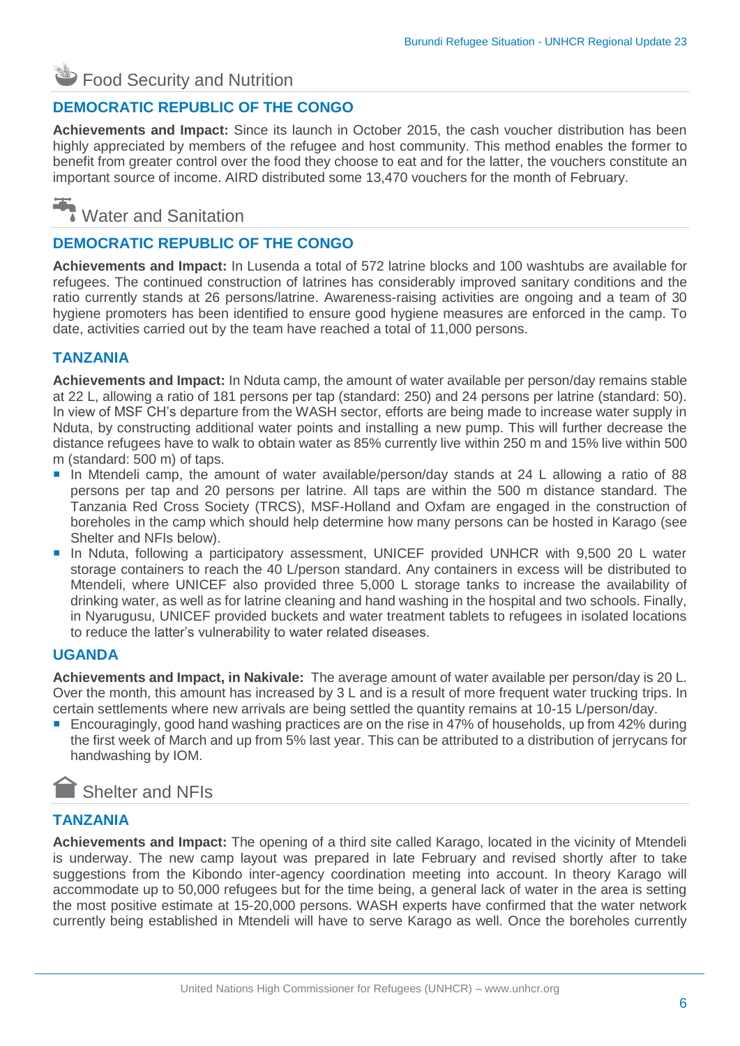### Food Security and Nutrition

#### **DEMOCRATIC REPUBLIC OF THE CONGO**

**Achievements and Impact:** Since its launch in October 2015, the cash voucher distribution has been highly appreciated by members of the refugee and host community. This method enables the former to benefit from greater control over the food they choose to eat and for the latter, the vouchers constitute an important source of income. AIRD distributed some 13,470 vouchers for the month of February.

### Water and Sanitation

#### **DEMOCRATIC REPUBLIC OF THE CONGO**

**Achievements and Impact:** In Lusenda a total of 572 latrine blocks and 100 washtubs are available for refugees. The continued construction of latrines has considerably improved sanitary conditions and the ratio currently stands at 26 persons/latrine. Awareness-raising activities are ongoing and a team of 30 hygiene promoters has been identified to ensure good hygiene measures are enforced in the camp. To date, activities carried out by the team have reached a total of 11,000 persons.

#### **TANZANIA**

**Achievements and Impact:** In Nduta camp, the amount of water available per person/day remains stable at 22 L, allowing a ratio of 181 persons per tap (standard: 250) and 24 persons per latrine (standard: 50). In view of MSF CH's departure from the WASH sector, efforts are being made to increase water supply in Nduta, by constructing additional water points and installing a new pump. This will further decrease the distance refugees have to walk to obtain water as 85% currently live within 250 m and 15% live within 500 m (standard: 500 m) of taps.

- In Mtendeli camp, the amount of water available/person/day stands at 24 L allowing a ratio of 88 persons per tap and 20 persons per latrine. All taps are within the 500 m distance standard. The Tanzania Red Cross Society (TRCS), MSF-Holland and Oxfam are engaged in the construction of boreholes in the camp which should help determine how many persons can be hosted in Karago (see Shelter and NFIs below).
- In Nduta, following a participatory assessment, UNICEF provided UNHCR with 9,500 20 L water storage containers to reach the 40 L/person standard. Any containers in excess will be distributed to Mtendeli, where UNICEF also provided three 5,000 L storage tanks to increase the availability of drinking water, as well as for latrine cleaning and hand washing in the hospital and two schools. Finally, in Nyarugusu, UNICEF provided buckets and water treatment tablets to refugees in isolated locations to reduce the latter's vulnerability to water related diseases.

#### **UGANDA**

**Achievements and Impact, in Nakivale:** The average amount of water available per person/day is 20 L. Over the month, this amount has increased by 3 L and is a result of more frequent water trucking trips. In certain settlements where new arrivals are being settled the quantity remains at 10-15 L/person/day.

 Encouragingly, good hand washing practices are on the rise in 47% of households, up from 42% during the first week of March and up from 5% last year. This can be attributed to a distribution of jerrycans for handwashing by IOM.

## Shelter and NFIs

#### **TANZANIA**

**Achievements and Impact:** The opening of a third site called Karago, located in the vicinity of Mtendeli is underway. The new camp layout was prepared in late February and revised shortly after to take suggestions from the Kibondo inter-agency coordination meeting into account. In theory Karago will accommodate up to 50,000 refugees but for the time being, a general lack of water in the area is setting the most positive estimate at 15-20,000 persons. WASH experts have confirmed that the water network currently being established in Mtendeli will have to serve Karago as well. Once the boreholes currently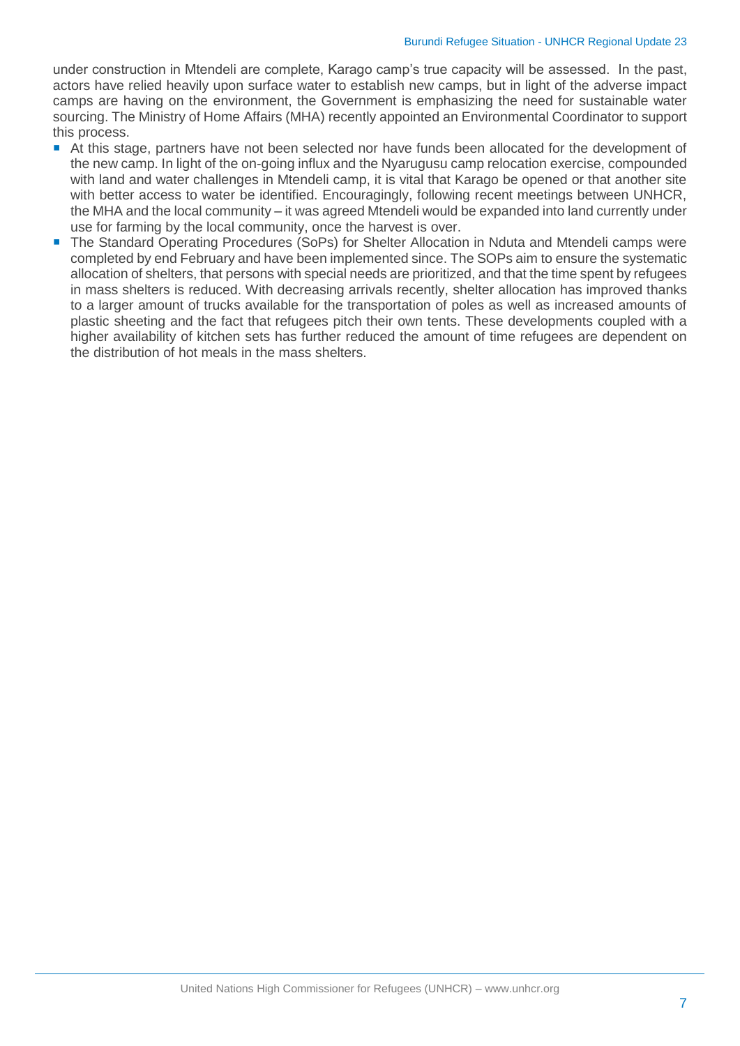under construction in Mtendeli are complete, Karago camp's true capacity will be assessed. In the past, actors have relied heavily upon surface water to establish new camps, but in light of the adverse impact camps are having on the environment, the Government is emphasizing the need for sustainable water sourcing. The Ministry of Home Affairs (MHA) recently appointed an Environmental Coordinator to support this process.

- At this stage, partners have not been selected nor have funds been allocated for the development of the new camp. In light of the on-going influx and the Nyarugusu camp relocation exercise, compounded with land and water challenges in Mtendeli camp, it is vital that Karago be opened or that another site with better access to water be identified. Encouragingly, following recent meetings between UNHCR, the MHA and the local community – it was agreed Mtendeli would be expanded into land currently under use for farming by the local community, once the harvest is over.
- The Standard Operating Procedures (SoPs) for Shelter Allocation in Nduta and Mtendeli camps were completed by end February and have been implemented since. The SOPs aim to ensure the systematic allocation of shelters, that persons with special needs are prioritized, and that the time spent by refugees in mass shelters is reduced. With decreasing arrivals recently, shelter allocation has improved thanks to a larger amount of trucks available for the transportation of poles as well as increased amounts of plastic sheeting and the fact that refugees pitch their own tents. These developments coupled with a higher availability of kitchen sets has further reduced the amount of time refugees are dependent on the distribution of hot meals in the mass shelters.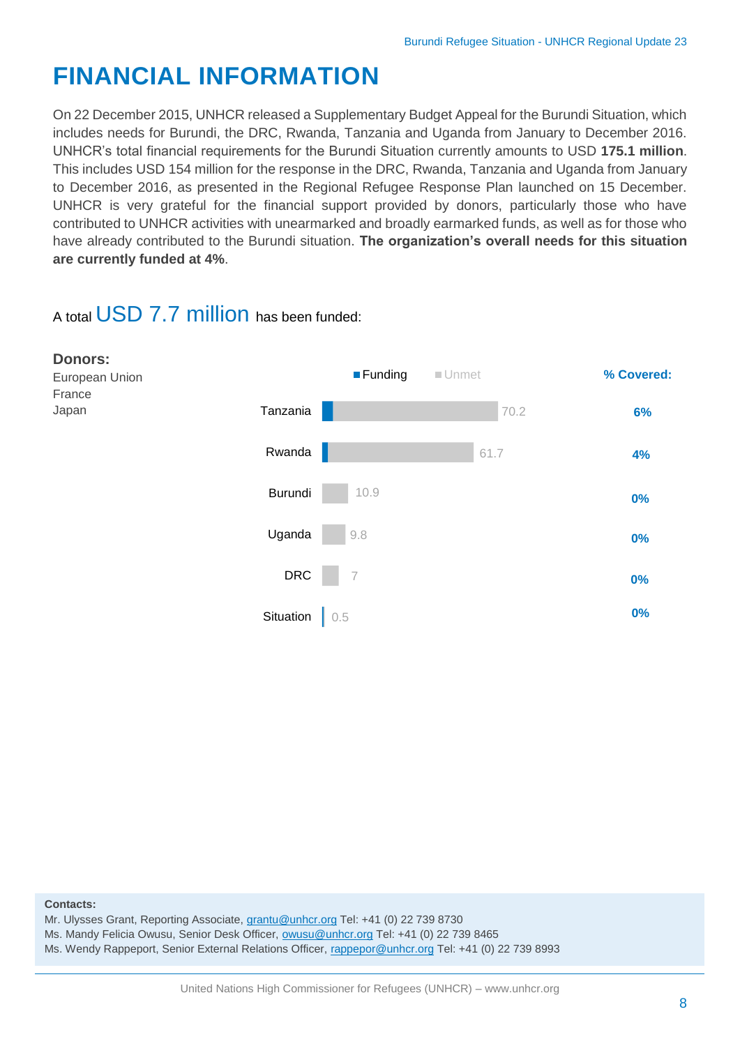# **FINANCIAL INFORMATION**

On 22 December 2015, UNHCR released a Supplementary Budget Appeal for the Burundi Situation, which includes needs for Burundi, the DRC, Rwanda, Tanzania and Uganda from January to December 2016. UNHCR's total financial requirements for the Burundi Situation currently amounts to USD **175.1 million**. This includes USD 154 million for the response in the DRC, Rwanda, Tanzania and Uganda from January to December 2016, as presented in the Regional Refugee Response Plan launched on 15 December. UNHCR is very grateful for the financial support provided by donors, particularly those who have contributed to UNHCR activities with unearmarked and broadly earmarked funds, as well as for those who have already contributed to the Burundi situation. **The organization's overall needs for this situation are currently funded at 4%**.

### A total USD 7.7 million has been funded:



#### **Contacts:**

Mr. Ulysses Grant, Reporting Associate, [grantu@unhcr.org](mailto:grantu@unhcr.org) Tel: +41 (0) 22 739 8730

Ms. Mandy Felicia Owusu, Senior Desk Officer, [owusu@unhcr.org](mailto:owusu@unhcr.org) Tel: +41 (0) 22 739 8465

Ms. Wendy Rappeport, Senior External Relations Officer, [rappepor@unhcr.org](mailto:rappepor@unhcr.org) Tel: +41 (0) 22 739 8993